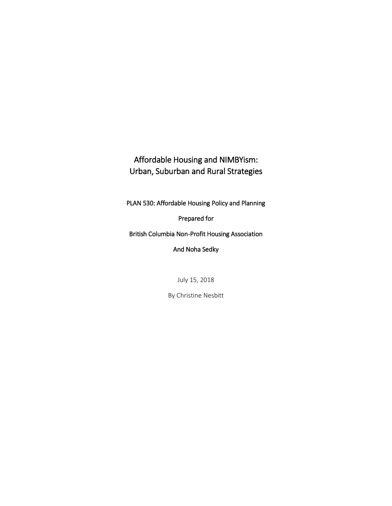# Affordable Housing and NIMBYism: Urban, Suburban and Rural Strategies

PLAN 530: Affordable Housing Policy and Planning

Prepared for

British Columbia Non-Profit Housing Association

And Noha Sedky

July 15, 2018

By Christine Nesbitt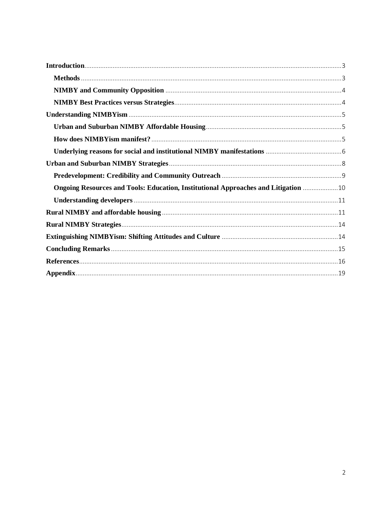| Ongoing Resources and Tools: Education, Institutional Approaches and Litigation 10 |  |
|------------------------------------------------------------------------------------|--|
|                                                                                    |  |
|                                                                                    |  |
|                                                                                    |  |
|                                                                                    |  |
|                                                                                    |  |
|                                                                                    |  |
|                                                                                    |  |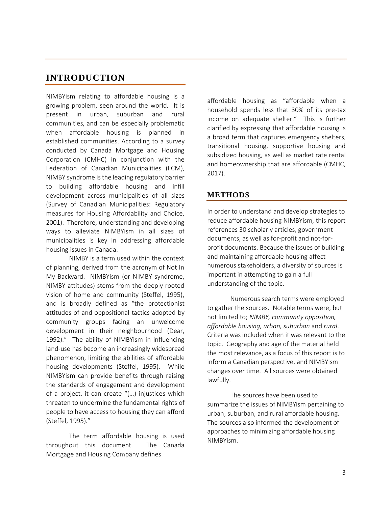## <span id="page-2-0"></span>**INTRODUCTION**

NIMBYism relating to affordable housing is a growing problem, seen around the world. It is present in urban, suburban and rural communities, and can be especially problematic when affordable housing is planned in established communities. According to a survey conducted by Canada Mortgage and Housing Corporation (CMHC) in conjunction with the Federation of Canadian Municipalities (FCM), NIMBY syndrome is the leading regulatory barrier to building affordable housing and infill development across municipalities of all sizes (Survey of Canadian Municipalities: Regulatory measures for Housing Affordability and Choice, 2001). Therefore, understanding and developing ways to alleviate NIMBYism in all sizes of municipalities is key in addressing affordable housing issues in Canada.

NIMBY is a term used within the context of planning, derived from the acronym of Not In My Backyard. NIMBYism (or NIMBY syndrome, NIMBY attitudes) stems from the deeply rooted vision of home and community (Steffel, 1995), and is broadly defined as "the protectionist attitudes of and oppositional tactics adopted by community groups facing an unwelcome development in their neighbourhood (Dear, 1992)." The ability of NIMBYism in influencing land-use has become an increasingly widespread phenomenon, limiting the abilities of affordable housing developments (Steffel, 1995). While NIMBYism can provide benefits through raising the standards of engagement and development of a project, it can create "(…) injustices which threaten to undermine the fundamental rights of people to have access to housing they can afford (Steffel, 1995)."

The term affordable housing is used throughout this document. The Canada Mortgage and Housing Company defines

affordable housing as "affordable when a household spends less that 30% of its pre-tax income on adequate shelter." This is further clarified by expressing that affordable housing is a broad term that captures emergency shelters, transitional housing, supportive housing and subsidized housing, as well as market rate rental and homeownership that are affordable (CMHC, 2017).

## <span id="page-2-1"></span>**METHODS**

In order to understand and develop strategies to reduce affordable housing NIMBYism, this report references 30 scholarly articles, government documents, as well as for-profit and not-forprofit documents. Because the issues of building and maintaining affordable housing affect numerous stakeholders, a diversity of sources is important in attempting to gain a full understanding of the topic.

Numerous search terms were employed to gather the sources. Notable terms were, but not limited to; *NIMBY, community opposition, affordable housing, urban, suburban* and *rural*. Criteria was included when it was relevant to the topic. Geography and age of the material held the most relevance, as a focus of this report is to inform a Canadian perspective, and NIMBYism changes over time. All sources were obtained lawfully.

The sources have been used to summarize the issues of NIMBYism pertaining to urban, suburban, and rural affordable housing. The sources also informed the development of approaches to minimizing affordable housing NIMBYism.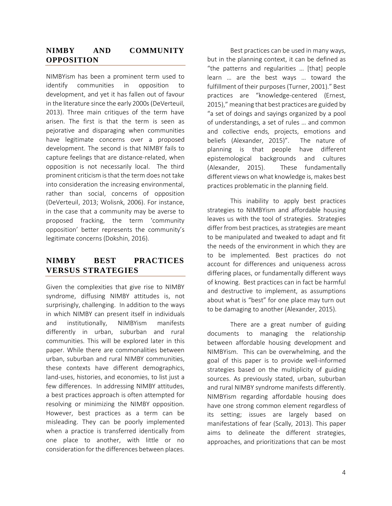## <span id="page-3-0"></span>**NIMBY AND COMMUNITY OPPOSITION**

NIMBYism has been a prominent term used to identify communities in opposition to development, and yet it has fallen out of favour in the literature since the early 2000s(DeVerteuil, 2013). Three main critiques of the term have arisen. The first is that the term is seen as pejorative and disparaging when communities have legitimate concerns over a proposed development. The second is that NIMBY fails to capture feelings that are distance-related, when opposition is not necessarily local. The third prominent criticism is that the term does not take into consideration the increasing environmental, rather than social, concerns of opposition (DeVerteuil, 2013; Wolisnk, 2006). For instance, in the case that a community may be averse to proposed fracking, the term 'community opposition' better represents the community's legitimate concerns (Dokshin, 2016).

# <span id="page-3-1"></span>**NIMBY BEST PRACTICES VERSUS STRATEGIES**

Given the complexities that give rise to NIMBY syndrome, diffusing NIMBY attitudes is, not surprisingly, challenging. In addition to the ways in which NIMBY can present itself in individuals and institutionally, NIMBYism manifests differently in urban, suburban and rural communities. This will be explored later in this paper. While there are commonalities between urban, suburban and rural NIMBY communities, these contexts have different demographics, land-uses, histories, and economies, to list just a few differences. In addressing NIMBY attitudes, a best practices approach is often attempted for resolving or minimizing the NIMBY opposition. However, best practices as a term can be misleading. They can be poorly implemented when a practice is transferred identically from one place to another, with little or no consideration for the differences between places.

Best practices can be used in many ways, but in the planning context, it can be defined as "the patterns and regularities … [that] people learn … are the best ways … toward the fulfillment of their purposes (Turner, 2001)." Best practices are "knowledge-centered (Ernest, 2015)," meaning that best practices are guided by "a set of doings and sayings organized by a pool of understandings, a set of rules … and common and collective ends, projects, emotions and beliefs (Alexander, 2015)". The nature of planning is that people have different epistemological backgrounds and cultures (Alexander, 2015). These fundamentally different views on what knowledge is, makes best practices problematic in the planning field.

This inability to apply best practices strategies to NIMBYism and affordable housing leaves us with the tool of strategies. Strategies differ from best practices, as strategies are meant to be manipulated and tweaked to adapt and fit the needs of the environment in which they are to be implemented. Best practices do not account for differences and uniqueness across differing places, or fundamentally different ways of knowing. Best practices can in fact be harmful and destructive to implement, as assumptions about what is "best" for one place may turn out to be damaging to another (Alexander, 2015).

There are a great number of guiding documents to managing the relationship between affordable housing development and NIMBYism. This can be overwhelming, and the goal of this paper is to provide well-informed strategies based on the multiplicity of guiding sources. As previously stated, urban, suburban and rural NIMBY syndrome manifests differently. NIMBYism regarding affordable housing does have one strong common element regardless of its setting; issues are largely based on manifestations of fear (Scally, 2013). This paper aims to delineate the different strategies, approaches, and prioritizations that can be most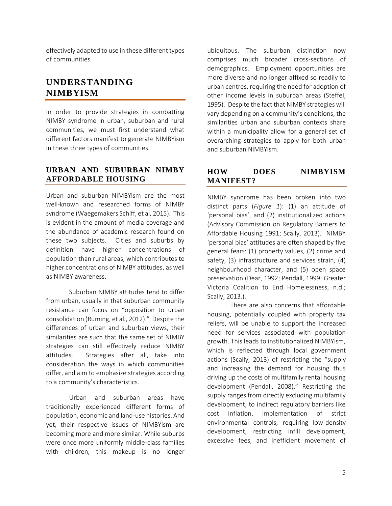effectively adapted to use in these different types of communities.

# <span id="page-4-0"></span>**UNDERSTANDING NIMBYISM**

In order to provide strategies in combatting NIMBY syndrome in urban, suburban and rural communities, we must first understand what different factors manifest to generate NIMBYism in these three types of communities.

## <span id="page-4-1"></span>**URBAN AND SUBURBAN NIMBY AFFORDABLE HOUSING**

Urban and suburban NIMBYism are the most well-known and researched forms of NIMBY syndrome (Waegemakers Schiff, et al, 2015). This is evident in the amount of media coverage and the abundance of academic research found on these two subjects. Cities and suburbs by definition have higher concentrations of population than rural areas, which contributes to higher concentrations of NIMBY attitudes, as well as NIMBY awareness.

Suburban NIMBY attitudes tend to differ from urban, usually in that suburban community resistance can focus on "opposition to urban consolidation (Ruming, et al., 2012)." Despite the differences of urban and suburban views, their similarities are such that the same set of NIMBY strategies can still effectively reduce NIMBY attitudes. Strategies after all, take into consideration the ways in which communities differ, and aim to emphasize strategies according to a community's characteristics.

Urban and suburban areas have traditionally experienced different forms of population, economic and land-use histories. And yet, their respective issues of NIMBYism are becoming more and more similar. While suburbs were once more uniformly middle-class families with children, this makeup is no longer

ubiquitous. The suburban distinction now comprises much broader cross-sections of demographics. Employment opportunities are more diverse and no longer affixed so readily to urban centres, requiring the need for adoption of other income levels in suburban areas (Steffel, 1995). Despite the fact that NIMBY strategies will vary depending on a community's conditions, the similarities urban and suburban contexts share within a municipality allow for a general set of overarching strategies to apply for both urban and suburban NIMBYism.

## <span id="page-4-2"></span>**HOW DOES NIMBYISM MANIFEST?**

NIMBY syndrome has been broken into two distinct parts (*Figure 1*): (1) an attitude of 'personal bias', and (2) institutionalized actions (Advisory Commission on Regulatory Barriers to Affordable Housing 1991; Scally, 2013). NIMBY 'personal bias' attitudes are often shaped by five general fears: (1) property values, (2) crime and safety, (3) infrastructure and services strain, (4) neighbourhood character, and (5) open space preservation (Dear, 1992; Pendall, 1999; Greater Victoria Coalition to End Homelessness, n.d.; Scally, 2013.).

There are also concerns that affordable housing, potentially coupled with property tax reliefs, will be unable to support the increased need for services associated with population growth. This leads to institutionalized NIMBYism, which is reflected through local government actions (Scally, 2013) of restricting the "supply and increasing the demand for housing thus driving up the costs of multifamily rental housing development (Pendall, 2008)." Restricting the supply ranges from directly excluding multifamily development, to indirect regulatory barriers like cost inflation, implementation of strict environmental controls, requiring low-density development, restricting infill development, excessive fees, and inefficient movement of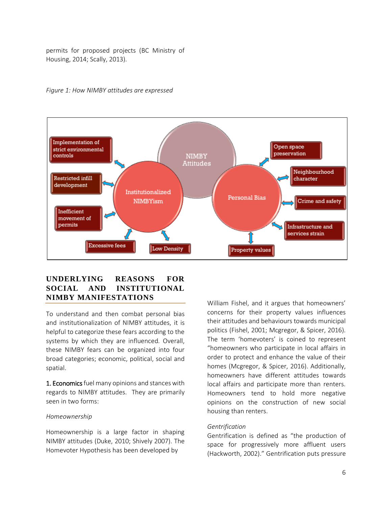permits for proposed projects (BC Ministry of Housing, 2014; Scally, 2013).



### *Figure 1: How NIMBY attitudes are expressed*

## <span id="page-5-0"></span>**UNDERLYING REASONS FOR SOCIAL AND INSTITUTIONAL NIMBY MANIFESTATIONS**

To understand and then combat personal bias and institutionalization of NIMBY attitudes, it is helpful to categorize these fears according to the systems by which they are influenced. Overall, these NIMBY fears can be organized into four broad categories; economic, political, social and spatial.

1. Economics fuel many opinions and stances with regards to NIMBY attitudes. They are primarily seen in two forms:

#### *Homeownership*

Homeownership is a large factor in shaping NIMBY attitudes (Duke, 2010; Shively 2007). The Homevoter Hypothesis has been developed by

William Fishel, and it argues that homeowners' concerns for their property values influences their attitudes and behaviours towards municipal politics (Fishel, 2001; Mcgregor, & Spicer, 2016). The term 'homevoters' is coined to represent "homeowners who participate in local affairs in order to protect and enhance the value of their homes (Mcgregor, & Spicer, 2016). Additionally, homeowners have different attitudes towards local affairs and participate more than renters. Homeowners tend to hold more negative opinions on the construction of new social housing than renters.

#### *Gentrification*

Gentrification is defined as "the production of space for progressively more affluent users (Hackworth, 2002)." Gentrification puts pressure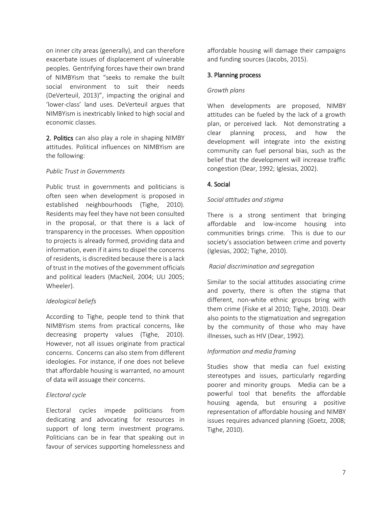on inner city areas (generally), and can therefore exacerbate issues of displacement of vulnerable peoples. Gentrifying forces have their own brand of NIMBYism that "seeks to remake the built social environment to suit their needs (DeVerteuil, 2013)", impacting the original and 'lower-class' land uses. DeVerteuil argues that NIMBYism is inextricably linked to high social and economic classes.

2. Politics can also play a role in shaping NIMBY attitudes. Political influences on NIMBYism are the following:

### *Public Trust in Governments*

Public trust in governments and politicians is often seen when development is proposed in established neighbourhoods (Tighe, 2010). Residents may feel they have not been consulted in the proposal, or that there is a lack of transparency in the processes. When opposition to projects is already formed, providing data and information, even if it aims to dispel the concerns of residents, is discredited because there is a lack of trust in the motives of the government officials and political leaders (MacNeil, 2004; ULI 2005; Wheeler).

### *Ideological beliefs*

According to Tighe, people tend to think that NIMBYism stems from practical concerns, like decreasing property values (Tighe, 2010). However, not all issues originate from practical concerns. Concerns can also stem from different ideologies. For instance, if one does not believe that affordable housing is warranted, no amount of data will assuage their concerns.

### *Electoral cycle*

Electoral cycles impede politicians from dedicating and advocating for resources in support of long term investment programs. Politicians can be in fear that speaking out in favour of services supporting homelessness and affordable housing will damage their campaigns and funding sources (Jacobs, 2015).

### 3. Planning process

### *Growth plans*

When developments are proposed, NIMBY attitudes can be fueled by the lack of a growth plan, or perceived lack. Not demonstrating a clear planning process, and how the development will integrate into the existing community can fuel personal bias, such as the belief that the development will increase traffic congestion (Dear, 1992; Iglesias, 2002).

## 4. Social

### *Social attitudes and stigma*

There is a strong sentiment that bringing affordable and low-income housing into communities brings crime. This is due to our society's association between crime and poverty (Iglesias, 2002; Tighe, 2010).

### *Racial discrimination and segregation*

Similar to the social attitudes associating crime and poverty, there is often the stigma that different, non-white ethnic groups bring with them crime (Fiske et al 2010; Tighe, 2010). Dear also points to the stigmatization and segregation by the community of those who may have illnesses, such as HIV (Dear, 1992).

## *Information and media framing*

Studies show that media can fuel existing stereotypes and issues, particularly regarding poorer and minority groups. Media can be a powerful tool that benefits the affordable housing agenda, but ensuring a positive representation of affordable housing and NIMBY issues requires advanced planning (Goetz, 2008; Tighe, 2010).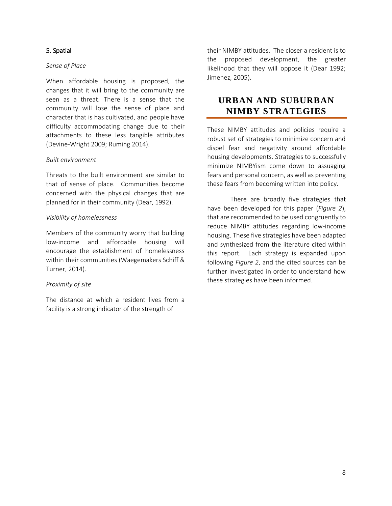## 5. Spatial

### *Sense of Place*

When affordable housing is proposed, the changes that it will bring to the community are seen as a threat. There is a sense that the community will lose the sense of place and character that is has cultivated, and people have difficulty accommodating change due to their attachments to these less tangible attributes (Devine-Wright 2009; Ruming 2014).

## *Built environment*

Threats to the built environment are similar to that of sense of place. Communities become concerned with the physical changes that are planned for in their community (Dear, 1992).

## *Visibility of homelessness*

Members of the community worry that building low-income and affordable housing will encourage the establishment of homelessness within their communities (Waegemakers Schiff & Turner, 2014).

## *Proximity of site*

The distance at which a resident lives from a facility is a strong indicator of the strength of

their NIMBY attitudes. The closer a resident is to the proposed development, the greater likelihood that they will oppose it (Dear 1992; Jimenez, 2005).

## <span id="page-7-0"></span>**URBAN AND SUBURBAN NIMBY STRATEGIES**

These NIMBY attitudes and policies require a robust set of strategies to minimize concern and dispel fear and negativity around affordable housing developments. Strategies to successfully minimize NIMBYism come down to assuaging fears and personal concern, as well as preventing these fears from becoming written into policy.

There are broadly five strategies that have been developed for this paper (*Figure 2*), that are recommended to be used congruently to reduce NIMBY attitudes regarding low-income housing. These five strategies have been adapted and synthesized from the literature cited within this report. Each strategy is expanded upon following *Figure 2*, and the cited sources can be further investigated in order to understand how these strategies have been informed.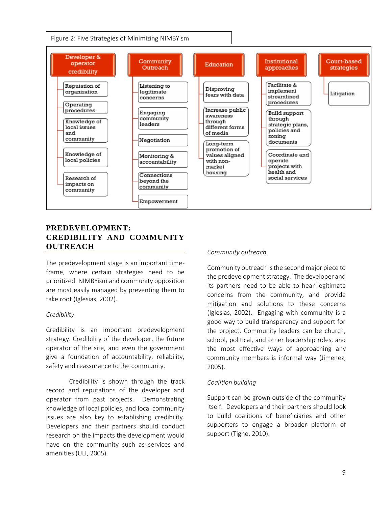

## <span id="page-8-0"></span>**PREDEVELOPMENT: CREDIBILITY AND COMMUNITY OUTREACH**

The predevelopment stage is an important timeframe, where certain strategies need to be prioritized. NIMBYism and community opposition are most easily managed by preventing them to take root (Iglesias, 2002).

### *Credibility*

Credibility is an important predevelopment strategy. Credibility of the developer, the future operator of the site, and even the government give a foundation of accountability, reliability, safety and reassurance to the community.

Credibility is shown through the track record and reputations of the developer and operator from past projects. Demonstrating knowledge of local policies, and local community issues are also key to establishing credibility. Developers and their partners should conduct research on the impacts the development would have on the community such as services and amenities (ULI, 2005).

#### *Community outreach*

Community outreach is the second major piece to the predevelopment strategy. The developer and its partners need to be able to hear legitimate concerns from the community, and provide mitigation and solutions to these concerns (Iglesias, 2002). Engaging with community is a good way to build transparency and support for the project. Community leaders can be church, school, political, and other leadership roles, and the most effective ways of approaching any community members is informal way (Jimenez, 2005).

#### *Coalition building*

Support can be grown outside of the community itself. Developers and their partners should look to build coalitions of beneficiaries and other supporters to engage a broader platform of support (Tighe, 2010).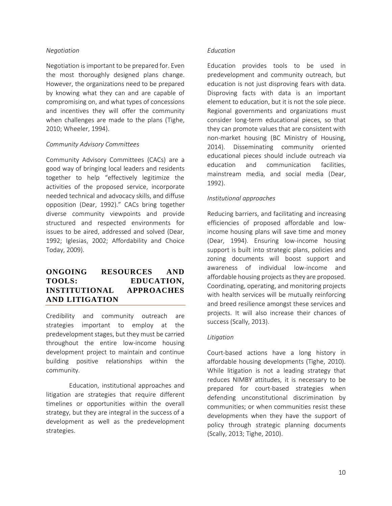### *Negotiation*

Negotiation is important to be prepared for. Even the most thoroughly designed plans change. However, the organizations need to be prepared by knowing what they can and are capable of compromising on, and what types of concessions and incentives they will offer the community when challenges are made to the plans (Tighe, 2010; Wheeler, 1994).

### *Community Advisory Committees*

Community Advisory Committees (CACs) are a good way of bringing local leaders and residents together to help "effectively legitimize the activities of the proposed service, incorporate needed technical and advocacy skills, and diffuse opposition (Dear, 1992)." CACs bring together diverse community viewpoints and provide structured and respected environments for issues to be aired, addressed and solved (Dear, 1992; Iglesias, 2002; Affordability and Choice Today, 2009).

## <span id="page-9-0"></span>**ONGOING RESOURCES AND TOOLS: EDUCATION, INSTITUTIONAL APPROACHES AND LITIGATION**

Credibility and community outreach are strategies important to employ at the predevelopment stages, but they must be carried throughout the entire low-income housing development project to maintain and continue building positive relationships within the community.

Education, institutional approaches and litigation are strategies that require different timelines or opportunities within the overall strategy, but they are integral in the success of a development as well as the predevelopment strategies.

### *Education*

Education provides tools to be used in predevelopment and community outreach, but education is not just disproving fears with data. Disproving facts with data is an important element to education, but it is not the sole piece. Regional governments and organizations must consider long-term educational pieces, so that they can promote values that are consistent with non-market housing (BC Ministry of Housing, 2014). Disseminating community oriented educational pieces should include outreach via education and communication facilities, mainstream media, and social media (Dear, 1992).

### *Institutional approaches*

Reducing barriers, and facilitating and increasing efficiencies of proposed affordable and lowincome housing plans will save time and money (Dear, 1994). Ensuring low-income housing support is built into strategic plans, policies and zoning documents will boost support and awareness of individual low-income and affordable housing projects as they are proposed. Coordinating, operating, and monitoring projects with health services will be mutually reinforcing and breed resilience amongst these services and projects. It will also increase their chances of success (Scally, 2013).

### *Litigation*

Court-based actions have a long history in affordable housing developments (Tighe, 2010). While litigation is not a leading strategy that reduces NIMBY attitudes, it is necessary to be prepared for court-based strategies when defending unconstitutional discrimination by communities; or when communities resist these developments when they have the support of policy through strategic planning documents (Scally, 2013; Tighe, 2010).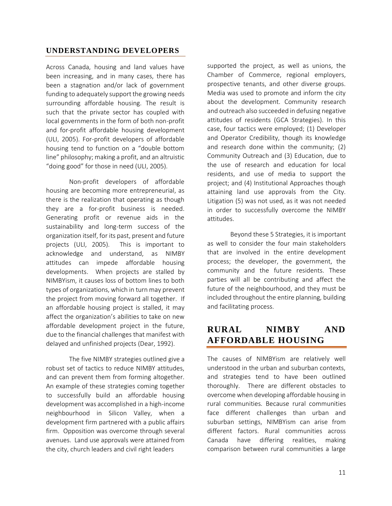## <span id="page-10-0"></span>**UNDERSTANDING DEVELOPERS**

Across Canada, housing and land values have been increasing, and in many cases, there has been a stagnation and/or lack of government funding to adequately support the growing needs surrounding affordable housing. The result is such that the private sector has coupled with local governments in the form of both non-profit and for-profit affordable housing development (ULI, 2005). For-profit developers of affordable housing tend to function on a "double bottom line" philosophy; making a profit, and an altruistic "doing good" for those in need (ULI, 2005).

Non-profit developers of affordable housing are becoming more entrepreneurial, as there is the realization that operating as though they are a for-profit business is needed. Generating profit or revenue aids in the sustainability and long-term success of the organization itself, for its past, present and future projects (ULI, 2005). This is important to acknowledge and understand, as NIMBY attitudes can impede affordable housing developments. When projects are stalled by NIMBYism, it causes loss of bottom lines to both types of organizations, which in turn may prevent the project from moving forward all together. If an affordable housing project is stalled, it may affect the organization's abilities to take on new affordable development project in the future, due to the financial challenges that manifest with delayed and unfinished projects (Dear, 1992).

The five NIMBY strategies outlined give a robust set of tactics to reduce NIMBY attitudes, and can prevent them from forming altogether. An example of these strategies coming together to successfully build an affordable housing development was accomplished in a high-income neighbourhood in Silicon Valley, when a development firm partnered with a public affairs firm. Opposition was overcome through several avenues. Land use approvals were attained from the city, church leaders and civil right leaders

supported the project, as well as unions, the Chamber of Commerce, regional employers, prospective tenants, and other diverse groups. Media was used to promote and inform the city about the development. Community research and outreach also succeeded in defusing negative attitudes of residents (GCA Strategies). In this case, four tactics were employed; (1) Developer and Operator Credibility, though its knowledge and research done within the community; (2) Community Outreach and (3) Education, due to the use of research and education for local residents, and use of media to support the project; and (4) Institutional Approaches though attaining land use approvals from the City. Litigation (5) was not used, as it was not needed in order to successfully overcome the NIMBY attitudes.

Beyond these 5 Strategies, it is important as well to consider the four main stakeholders that are involved in the entire development process; the developer, the government, the community and the future residents. These parties will all be contributing and affect the future of the neighbourhood, and they must be included throughout the entire planning, building and facilitating process.

# <span id="page-10-1"></span>**RURAL NIMBY AND AFFORDABLE HOUSING**

The causes of NIMBYism are relatively well understood in the urban and suburban contexts, and strategies tend to have been outlined thoroughly. There are different obstacles to overcome when developing affordable housing in rural communities. Because rural communities face different challenges than urban and suburban settings, NIMBYism can arise from different factors. Rural communities across Canada have differing realities, making comparison between rural communities a large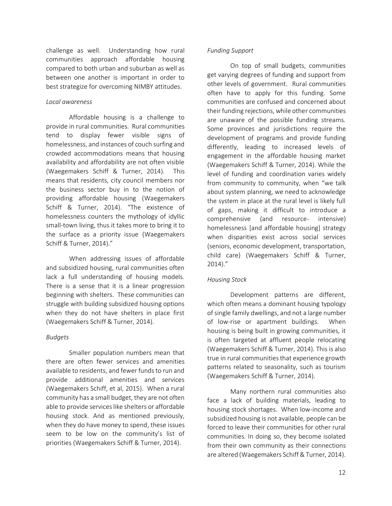challenge as well. Understanding how rural communities approach affordable housing compared to both urban and suburban as well as between one another is important in order to best strategize for overcoming NIMBY attitudes.

### *Local awareness*

Affordable housing is a challenge to provide in rural communities. Rural communities tend to display fewer visible signs of homelessness, and instances of couch surfing and crowded accommodations means that housing availability and affordability are not often visible (Waegemakers Schiff & Turner, 2014). This means that residents, city council members nor the business sector buy in to the notion of providing affordable housing (Waegemakers Schiff & Turner, 2014). "The existence of homelessness counters the mythology of idyllic small-town living, thus it takes more to bring it to the surface as a priority issue (Waegemakers Schiff & Turner, 2014)."

When addressing issues of affordable and subsidized housing, rural communities often lack a full understanding of housing models. There is a sense that it is a linear progression beginning with shelters. These communities can struggle with building subsidized housing options when they do not have shelters in place first (Waegemakers Schiff & Turner, 2014).

#### *Budgets*

Smaller population numbers mean that there are often fewer services and amenities available to residents, and fewer funds to run and provide additional amenities and services (Waegemakers Schiff, et al, 2015). When a rural community has a small budget, they are not often able to provide services like shelters or affordable housing stock. And as mentioned previously, when they do have money to spend, these issues seem to be low on the community's list of priorities (Waegemakers Schiff & Turner, 2014).

#### *Funding Support*

On top of small budgets, communities get varying degrees of funding and support from other levels of government. Rural communities often have to apply for this funding. Some communities are confused and concerned about their funding rejections, while other communities are unaware of the possible funding streams. Some provinces and jurisdictions require the development of programs and provide funding differently, leading to increased levels of engagement in the affordable housing market (Waegemakers Schiff & Turner, 2014). While the level of funding and coordination varies widely from community to community, when "we talk about system planning, we need to acknowledge the system in place at the rural level is likely full of gaps, making it difficult to introduce a comprehensive (and resource- intensive) homelessness [and affordable housing] strategy when disparities exist across social services (seniors, economic development, transportation, child care) (Waegemakers Schiff & Turner, 2014)."

#### *Housing Stock*

Development patterns are different, which often means a dominant housing typology of single family dwellings, and not a large number of low-rise or apartment buildings. When housing is being built in growing communities, it is often targeted at affluent people relocating (Waegemakers Schiff & Turner, 2014). This is also true in rural communities that experience growth patterns related to seasonality, such as tourism (Waegemakers Schiff & Turner, 2014).

Many northern rural communities also face a lack of building materials, leading to housing stock shortages. When low-income and subsidized housing is not available, people can be forced to leave their communities for other rural communities. In doing so, they become isolated from their own community as their connections are altered (Waegemakers Schiff & Turner, 2014).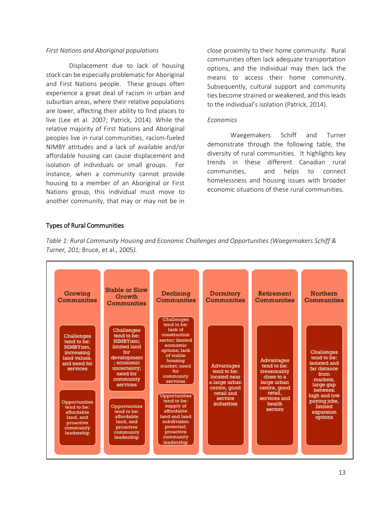### *First Nations and Aboriginal populations*

Displacement due to lack of housing stock can be especially problematic for Aboriginal and First Nations people. These groups often experience a great deal of racism in urban and suburban areas, where their relative populations are lower, affecting their ability to find places to live (Lee et al. 2007; Patrick, 2014). While the relative majority of First Nations and Aboriginal peoples live in rural communities, racism-fueled NIMBY attitudes and a lack of available and/or affordable housing can cause displacement and isolation of individuals or small groups. For instance, when a community cannot provide housing to a member of an Aboriginal or First Nations group, this individual must move to another community, that may or may not be in

close proximity to their home community. Rural communities often lack adequate transportation options, and the individual may then lack the means to access their home community. Subsequently, cultural support and community ties become strained or weakened, and this leads to the individual's isolation (Patrick, 2014).

#### *Economics*

Waegemakers Schiff and Turner demonstrate through the following table, the diversity of rural communities. It highlights key trends in these different Canadian rural communities, and helps to connect homelessness and housing issues with broader economic situations of these rural communities.

### Types of Rural Communities

*Table 1: Rural Community Housing and Economic Challenges and Opportunities (Waegemakers Schiff & Turner, 201;* Bruce, et al., 2005*).*

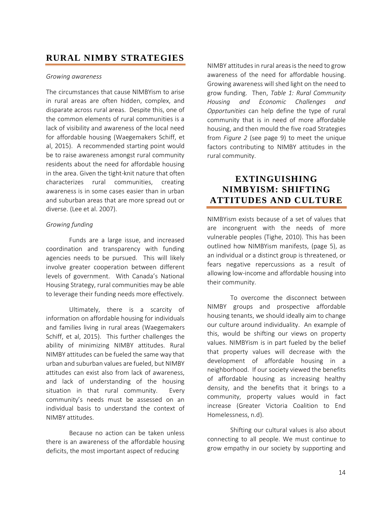# <span id="page-13-0"></span>**RURAL NIMBY STRATEGIES**

### *Growing awareness*

The circumstances that cause NIMBYism to arise in rural areas are often hidden, complex, and disparate across rural areas. Despite this, one of the common elements of rural communities is a lack of visibility and awareness of the local need for affordable housing (Waegemakers Schiff, et al, 2015). A recommended starting point would be to raise awareness amongst rural community residents about the need for affordable housing in the area. Given the tight-knit nature that often characterizes rural communities, creating awareness is in some cases easier than in urban and suburban areas that are more spread out or diverse. (Lee et al. 2007).

### *Growing funding*

Funds are a large issue, and increased coordination and transparency with funding agencies needs to be pursued. This will likely involve greater cooperation between different levels of government. With Canada's National Housing Strategy, rural communities may be able to leverage their funding needs more effectively.

Ultimately, there is a scarcity of information on affordable housing for individuals and families living in rural areas (Waegemakers Schiff, et al, 2015). This further challenges the ability of minimizing NIMBY attitudes. Rural NIMBY attitudes can be fueled the same way that urban and suburban values are fueled, but NIMBY attitudes can exist also from lack of awareness, and lack of understanding of the housing situation in that rural community. Every community's needs must be assessed on an individual basis to understand the context of NIMBY attitudes.

Because no action can be taken unless there is an awareness of the affordable housing deficits, the most important aspect of reducing

NIMBY attitudes in rural areas is the need to grow awareness of the need for affordable housing. Growing awareness will shed light on the need to grow funding. Then, *Table 1: Rural Community Housing and Economic Challenges and Opportunities* can help define the type of rural community that is in need of more affordable housing, and then mould the five road Strategies from *Figure 2* (see page 9) to meet the unique factors contributing to NIMBY attitudes in the rural community.

# <span id="page-13-1"></span>**EXTINGUISHING NIMBYISM: SHIFTING ATTITUDES AND CULTURE**

NIMBYism exists because of a set of values that are incongruent with the needs of more vulnerable peoples (Tighe, 2010). This has been outlined how NIMBYism manifests, (page 5), as an individual or a distinct group is threatened, or fears negative repercussions as a result of allowing low-income and affordable housing into their community.

To overcome the disconnect between NIMBY groups and prospective affordable housing tenants, we should ideally aim to change our culture around individuality. An example of this, would be shifting our views on property values. NIMBYism is in part fueled by the belief that property values will decrease with the development of affordable housing in a neighborhood. If our society viewed the benefits of affordable housing as increasing healthy density, and the benefits that it brings to a community, property values would in fact increase (Greater Victoria Coalition to End Homelessness, n.d).

Shifting our cultural values is also about connecting to all people. We must continue to grow empathy in our society by supporting and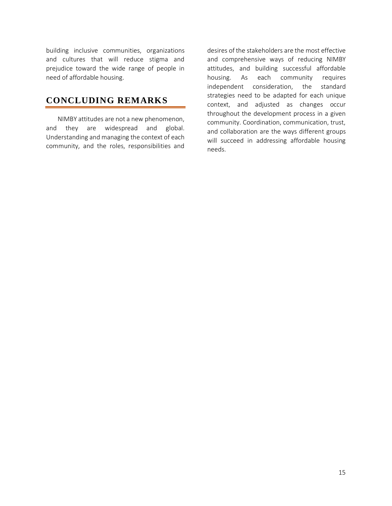building inclusive communities, organizations and cultures that will reduce stigma and prejudice toward the wide range of people in need of affordable housing.

# <span id="page-14-0"></span>**CONCLUDING REMARKS**

NIMBY attitudes are not a new phenomenon, and they are widespread and global. Understanding and managing the context of each community, and the roles, responsibilities and

desires of the stakeholders are the most effective and comprehensive ways of reducing NIMBY attitudes, and building successful affordable housing. As each community requires independent consideration, the standard strategies need to be adapted for each unique context, and adjusted as changes occur throughout the development process in a given community. Coordination, communication, trust, and collaboration are the ways different groups will succeed in addressing affordable housing needs.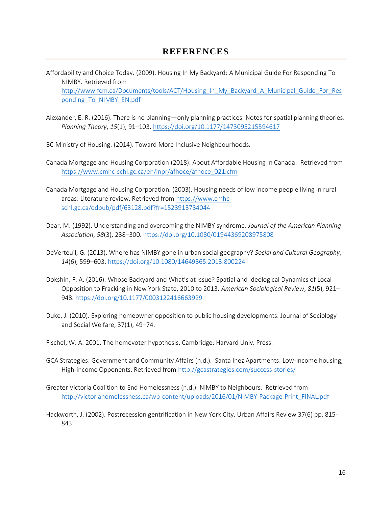- <span id="page-15-0"></span>Affordability and Choice Today. (2009). Housing In My Backyard: A Municipal Guide For Responding To NIMBY. Retrieved from [http://www.fcm.ca/Documents/tools/ACT/Housing\\_In\\_My\\_Backyard\\_A\\_Municipal\\_Guide\\_For\\_Res](http://www.fcm.ca/Documents/tools/ACT/Housing_In_My_Backyard_A_Municipal_Guide_For_Responding_To_NIMBY_EN.pdf) [ponding\\_To\\_NIMBY\\_EN.pdf](http://www.fcm.ca/Documents/tools/ACT/Housing_In_My_Backyard_A_Municipal_Guide_For_Responding_To_NIMBY_EN.pdf)
- Alexander, E. R. (2016). There is no planning—only planning practices: Notes for spatial planning theories. *Planning Theory*, *15*(1), 91–103.<https://doi.org/10.1177/1473095215594617>

BC Ministry of Housing. (2014). Toward More Inclusive Neighbourhoods.

- Canada Mortgage and Housing Corporation (2018). About Affordable Housing in Canada. Retrieved from [https://www.cmhc-schl.gc.ca/en/inpr/afhoce/afhoce\\_021.cfm](https://www.cmhc-schl.gc.ca/en/inpr/afhoce/afhoce_021.cfm)
- Canada Mortgage and Housing Corporation. (2003). Housing needs of low income people living in rural areas: Literature review. Retrieved from [https://www.cmhc](https://www.cmhc-schl.gc.ca/odpub/pdf/63128.pdf?fr=1523913784044)[schl.gc.ca/odpub/pdf/63128.pdf?fr=1523913784044](https://www.cmhc-schl.gc.ca/odpub/pdf/63128.pdf?fr=1523913784044)
- Dear, M. (1992). Understanding and overcoming the NIMBY syndrome. *Journal of the American Planning Association*, *58*(3), 288–300.<https://doi.org/10.1080/01944369208975808>
- DeVerteuil, G. (2013). Where has NIMBY gone in urban social geography? *Social and Cultural Geography*, *14*(6), 599–603.<https://doi.org/10.1080/14649365.2013.800224>
- Dokshin, F. A. (2016). Whose Backyard and What's at Issue? Spatial and Ideological Dynamics of Local Opposition to Fracking in New York State, 2010 to 2013. *American Sociological Review*, *81*(5), 921– 948.<https://doi.org/10.1177/0003122416663929>
- Duke, J. (2010). Exploring homeowner opposition to public housing developments. Journal of Sociology and Social Welfare, 37(1), 49–74.
- Fischel, W. A. 2001. The homevoter hypothesis. Cambridge: Harvard Univ. Press.
- GCA Strategies: Government and Community Affairs (n.d.). Santa Inez Apartments: Low-income housing, High-income Opponents. Retrieved from http://gcastrategies.com/success-stories/
- Greater Victoria Coalition to End Homelessness (n.d.). NIMBY to Neighbours. Retrieved from [http://victoriahomelessness.ca/wp-content/uploads/2016/01/NIMBY-Package-Print\\_FINAL.pdf](http://victoriahomelessness.ca/wp-content/uploads/2016/01/NIMBY-Package-Print_FINAL.pdf)
- Hackworth, J. (2002). Postrecession gentrification in New York City. Urban Affairs Review 37(6) pp. 815- 843.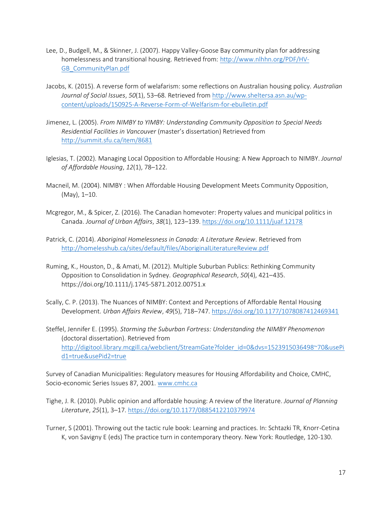- Lee, D., Budgell, M., & Skinner, J. (2007). Happy Valley-Goose Bay community plan for addressing homelessness and transitional housing. Retrieved from: [http://www.nlhhn.org/PDF/HV-](http://www.nlhhn.org/PDF/HV-GB_CommunityPlan.pdf)[GB\\_CommunityPlan.pdf](http://www.nlhhn.org/PDF/HV-GB_CommunityPlan.pdf)
- Jacobs, K. (2015). A reverse form of welafarism: some reflections on Australian housing policy. *Australian Journal of Social Issues*, *50*(1), 53–68. Retrieved from [http://www.sheltersa.asn.au/wp](http://www.sheltersa.asn.au/wp-content/uploads/150925-A-Reverse-Form-of-Welfarism-for-ebulletin.pdf)[content/uploads/150925-A-Reverse-Form-of-Welfarism-for-ebulletin.pdf](http://www.sheltersa.asn.au/wp-content/uploads/150925-A-Reverse-Form-of-Welfarism-for-ebulletin.pdf)
- Jimenez, L. (2005). *From NIMBY to YIMBY: Understanding Community Opposition to Special Needs Residential Facilities in Vancouver* (master's dissertation) Retrieved from <http://summit.sfu.ca/item/8681>
- Iglesias, T. (2002). Managing Local Opposition to Affordable Housing: A New Approach to NIMBY. *Journal of Affordable Housing*, *12*(1), 78–122.
- Macneil, M. (2004). NIMBY : When Affordable Housing Development Meets Community Opposition, (May), 1–10.
- Mcgregor, M., & Spicer, Z. (2016). The Canadian homevoter: Property values and municipal politics in Canada. *Journal of Urban Affairs*, *38*(1), 123–139.<https://doi.org/10.1111/juaf.12178>
- Patrick, C. (2014). *Aboriginal Homelessness in Canada: A Literature Review*. Retrieved from <http://homelesshub.ca/sites/default/files/AboriginalLiteratureReview.pdf>
- Ruming, K., Houston, D., & Amati, M. (2012). Multiple Suburban Publics: Rethinking Community Opposition to Consolidation in Sydney. *Geographical Research*, *50*(4), 421–435. https://doi.org/10.1111/j.1745-5871.2012.00751.x
- Scally, C. P. (2013). The Nuances of NIMBY: Context and Perceptions of Affordable Rental Housing Development. *Urban Affairs Review*, *49*(5), 718–747.<https://doi.org/10.1177/1078087412469341>
- Steffel, Jennifer E. (1995). *Storming the Suburban Fortress: Understanding the NIMBY Phenomenon* (doctoral dissertation). Retrieved from [http://digitool.library.mcgill.ca/webclient/StreamGate?folder\\_id=0&dvs=1523915036498~70&usePi](http://digitool.library.mcgill.ca/webclient/StreamGate?folder_id=0&dvs=1523915036498~70&usePid1=true&usePid2=true) [d1=true&usePid2=true](http://digitool.library.mcgill.ca/webclient/StreamGate?folder_id=0&dvs=1523915036498~70&usePid1=true&usePid2=true)

Survey of Canadian Municipalities: Regulatory measures for Housing Affordability and Choice, CMHC, Socio-economic Series Issues 87, 2001. [www.cmhc.ca](http://www.cmhc.ca/)

- Tighe, J. R. (2010). Public opinion and affordable housing: A review of the literature. *Journal of Planning Literature*, *25*(1), 3–17.<https://doi.org/10.1177/0885412210379974>
- Turner, S (2001). Throwing out the tactic rule book: Learning and practices. In: Schtazki TR, Knorr-Cetina K, von Savigny E (eds) The practice turn in contemporary theory. New York: Routledge, 120-130.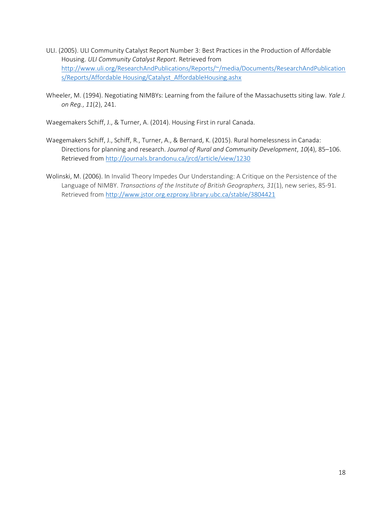- ULI. (2005). ULI Community Catalyst Report Number 3: Best Practices in the Production of Affordable Housing. *ULI Community Catalyst Report*. Retrieved from [http://www.uli.org/ResearchAndPublications/Reports/~/media/Documents/ResearchAndPublication](http://www.uli.org/ResearchAndPublications/Reports/~/media/Documents/ResearchAndPublications/Reports/Affordable%20Housing/Catalyst_AffordableHousing.ashx) [s/Reports/Affordable Housing/Catalyst\\_AffordableHousing.ashx](http://www.uli.org/ResearchAndPublications/Reports/~/media/Documents/ResearchAndPublications/Reports/Affordable%20Housing/Catalyst_AffordableHousing.ashx)
- Wheeler, M. (1994). Negotiating NIMBYs: Learning from the failure of the Massachusetts siting law. *Yale J. on Reg.*, *11*(2), 241.

Waegemakers Schiff, J., & Turner, A. (2014). Housing First in rural Canada.

- Waegemakers Schiff, J., Schiff, R., Turner, A., & Bernard, K. (2015). Rural homelessness in Canada: Directions for planning and research. *Journal of Rural and Community Development*, *10*(4), 85–106. Retrieved from<http://journals.brandonu.ca/jrcd/article/view/1230>
- Wolinski, M. (2006). In Invalid Theory Impedes Our Understanding: A Critique on the Persistence of the Language of NIMBY. *Transactions of the Institute of British Geographers, 31*(1), new series, 85-91. Retrieved from<http://www.jstor.org.ezproxy.library.ubc.ca/stable/3804421>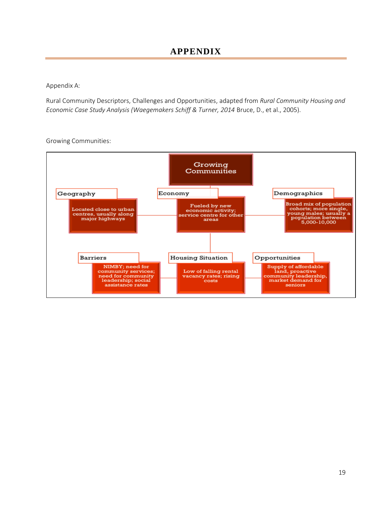<span id="page-18-0"></span>Appendix A:

Rural Community Descriptors, Challenges and Opportunities, adapted from *Rural Community Housing and Economic Case Study Analysis (Waegemakers Schiff & Turner, 2014* Bruce, D., et al., 2005).

Growing Communities:

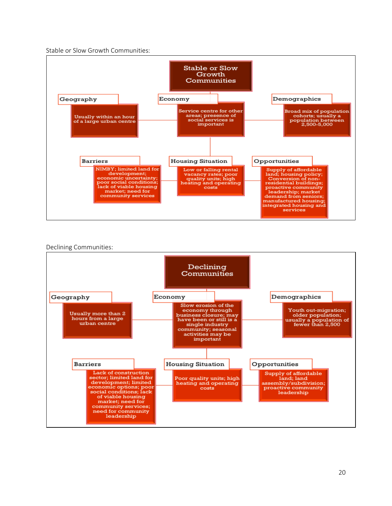Stable or Slow Growth Communities:



Declining Communities: